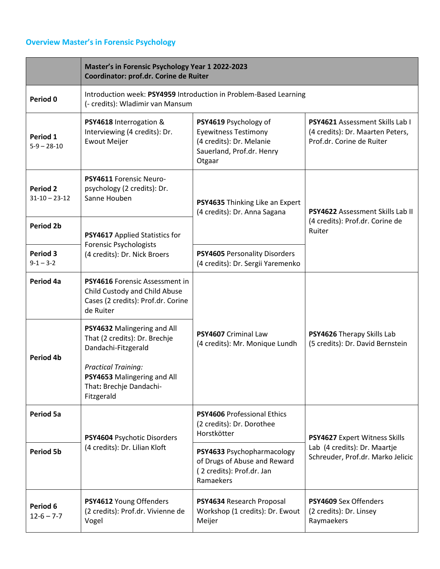## **Overview Master's in Forensic Psychology**

|                                 | Master's in Forensic Psychology Year 1 2022-2023<br>Coordinator: prof.dr. Corine de Ruiter                                |                                                                                                                         |                                                                                                         |
|---------------------------------|---------------------------------------------------------------------------------------------------------------------------|-------------------------------------------------------------------------------------------------------------------------|---------------------------------------------------------------------------------------------------------|
| Period 0                        | Introduction week: PSY4959 Introduction in Problem-Based Learning<br>(- credits): Wladimir van Mansum                     |                                                                                                                         |                                                                                                         |
| Period 1<br>$5-9 - 28-10$       | PSY4618 Interrogation &<br>Interviewing (4 credits): Dr.<br><b>Ewout Meijer</b>                                           | PSY4619 Psychology of<br><b>Eyewitness Testimony</b><br>(4 credits): Dr. Melanie<br>Sauerland, Prof.dr. Henry<br>Otgaar | <b>PSY4621</b> Assessment Skills Lab I<br>(4 credits): Dr. Maarten Peters,<br>Prof.dr. Corine de Ruiter |
| Period 2<br>$31 - 10 - 23 - 12$ | PSY4611 Forensic Neuro-<br>psychology (2 credits): Dr.<br>Sanne Houben                                                    | PSY4635 Thinking Like an Expert<br>(4 credits): Dr. Anna Sagana                                                         | PSY4622 Assessment Skills Lab II<br>(4 credits): Prof.dr. Corine de<br>Ruiter                           |
| <b>Period 2b</b>                | PSY4617 Applied Statistics for<br><b>Forensic Psychologists</b>                                                           |                                                                                                                         |                                                                                                         |
| Period 3<br>$9 - 1 - 3 - 2$     | (4 credits): Dr. Nick Broers                                                                                              | PSY4605 Personality Disorders<br>(4 credits): Dr. Sergii Yaremenko                                                      |                                                                                                         |
| Period 4a                       | <b>PSY4616</b> Forensic Assessment in<br>Child Custody and Child Abuse<br>Cases (2 credits): Prof.dr. Corine<br>de Ruiter | PSY4607 Criminal Law<br>(4 credits): Mr. Monique Lundh                                                                  |                                                                                                         |
| Period 4b                       | PSY4632 Malingering and All<br>That (2 credits): Dr. Brechje<br>Dandachi-Fitzgerald                                       |                                                                                                                         | PSY4626 Therapy Skills Lab<br>(5 credits): Dr. David Bernstein                                          |
|                                 | <b>Practical Training:</b><br>PSY4653 Malingering and All<br>That: Brechje Dandachi-<br>Fitzgerald                        |                                                                                                                         |                                                                                                         |
| <b>Period 5a</b>                | PSY4604 Psychotic Disorders<br>(4 credits): Dr. Lilian Kloft                                                              | <b>PSY4606 Professional Ethics</b><br>(2 credits): Dr. Dorothee<br>Horstkötter                                          | PSY4627 Expert Witness Skills<br>Lab (4 credits): Dr. Maartje<br>Schreuder, Prof.dr. Marko Jelicic      |
| <b>Period 5b</b>                |                                                                                                                           | PSY4633 Psychopharmacology<br>of Drugs of Abuse and Reward<br>(2 credits): Prof.dr. Jan<br>Ramaekers                    |                                                                                                         |
| Period 6<br>$12 - 6 - 7 - 7$    | PSY4612 Young Offenders<br>(2 credits): Prof.dr. Vivienne de<br>Vogel                                                     | PSY4634 Research Proposal<br>Workshop (1 credits): Dr. Ewout<br>Meijer                                                  | <b>PSY4609 Sex Offenders</b><br>(2 credits): Dr. Linsey<br>Raymaekers                                   |